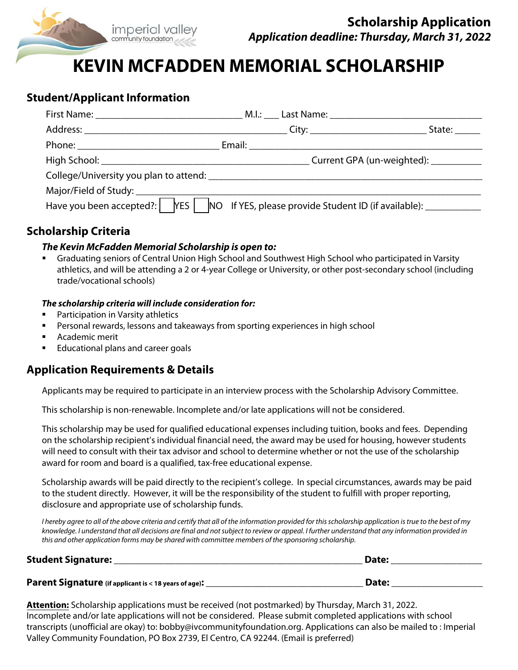

# **KEVIN MCFADDEN MEMORIAL SCHOLARSHIP**

## **Student/Applicant Information**

|                                                                                                                      |  | State:                                 |
|----------------------------------------------------------------------------------------------------------------------|--|----------------------------------------|
|                                                                                                                      |  |                                        |
|                                                                                                                      |  | Current GPA (un-weighted): ___________ |
|                                                                                                                      |  |                                        |
|                                                                                                                      |  |                                        |
| Have you been accepted?: $\parallel$ YES $\parallel$ NO If YES, please provide Student ID (if available): __________ |  |                                        |

## **Scholarship Criteria**

#### **The Kevin McFadden Memorial Scholarship is open to:**

 Graduating seniors of Central Union High School and Southwest High School who participated in Varsity athletics, and will be attending a 2 or 4-year College or University, or other post-secondary school (including trade/vocational schools)

#### **The scholarship criteria will include consideration for:**

- Participation in Varsity athletics
- Personal rewards, lessons and takeaways from sporting experiences in high school
- **Academic merit**
- Educational plans and career goals

## **Application Requirements & Details**

Applicants may be required to participate in an interview process with the Scholarship Advisory Committee.

This scholarship is non-renewable. Incomplete and/or late applications will not be considered.

This scholarship may be used for qualified educational expenses including tuition, books and fees. Depending on the scholarship recipient's individual financial need, the award may be used for housing, however students will need to consult with their tax advisor and school to determine whether or not the use of the scholarship award for room and board is a qualified, tax-free educational expense.

Scholarship awards will be paid directly to the recipient's college. In special circumstances, awards may be paid to the student directly. However, it will be the responsibility of the student to fulfill with proper reporting, disclosure and appropriate use of scholarship funds.

I hereby agree to all of the above criteria and certify that all of the information provided for this scholarship application is true to the best of my knowledge. I understand that all decisions are final and not subject to review or appeal. I further understand that any information provided in this and other application forms may be shared with committee members of the sponsoring scholarship.

| <b>Student Signature:</b>                             | Date: |
|-------------------------------------------------------|-------|
| Parent Signature (if applicant is < 18 years of age): | Date: |

**Attention:** Scholarship applications must be received (not postmarked) by Thursday, March 31, 2022. Incomplete and/or late applications will not be considered. Please submit completed applications with school transcripts (unofficial are okay) to: bobby@ivcommunityfoundation.org. Applications can also be mailed to : Imperial Valley Community Foundation, PO Box 2739, El Centro, CA 92244. (Email is preferred)